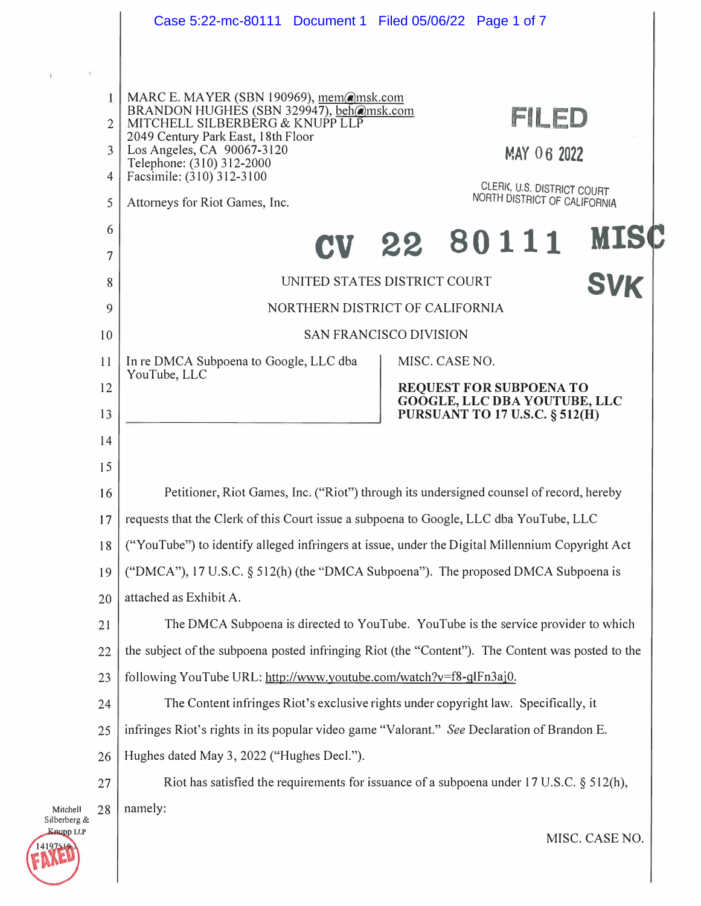|                                                        | Case 5:22-mc-80111 Document 1 Filed 05/06/22 Page 1 of 7                                                                                                                                                                                                                                                                                                                     |  |  |  |
|--------------------------------------------------------|------------------------------------------------------------------------------------------------------------------------------------------------------------------------------------------------------------------------------------------------------------------------------------------------------------------------------------------------------------------------------|--|--|--|
|                                                        |                                                                                                                                                                                                                                                                                                                                                                              |  |  |  |
| $\overline{2}$<br>$\mathcal{E}$<br>$\overline{4}$<br>5 | MARC E. MAYER (SBN 190969), mem@msk.com<br>BRANDON HUGHES (SBN 329947), beh@msk.com<br>FILED<br>MITCHELL SILBERBERG & KNUPP LLP<br>2049 Century Park East, 18th Floor<br>Los Angeles, CA 90067-3120<br>MAY 06 2022<br>Telephone: (310) 312-2000<br>Facsimile: (310) 312-3100<br>CLERK, U.S. DISTRICT COURT<br>NORTH DISTRICT OF CALIFORNIA<br>Attorneys for Riot Games, Inc. |  |  |  |
| 6                                                      | <b>MIS</b><br>22 80111                                                                                                                                                                                                                                                                                                                                                       |  |  |  |
| 7                                                      |                                                                                                                                                                                                                                                                                                                                                                              |  |  |  |
| 8                                                      | UNITED STATES DISTRICT COURT<br><b>SVK</b>                                                                                                                                                                                                                                                                                                                                   |  |  |  |
| NORTHERN DISTRICT OF CALIFORNIA<br>9                   |                                                                                                                                                                                                                                                                                                                                                                              |  |  |  |
| 10                                                     | <b>SAN FRANCISCO DIVISION</b>                                                                                                                                                                                                                                                                                                                                                |  |  |  |
| 11                                                     | In re DMCA Subpoena to Google, LLC dba<br>MISC. CASE NO.<br>YouTube, LLC                                                                                                                                                                                                                                                                                                     |  |  |  |
| 12                                                     | REQUEST FOR SUBPOENA TO<br>GOOGLE, LLC DBA YOUTUBE, LLC                                                                                                                                                                                                                                                                                                                      |  |  |  |
| 13                                                     | <b>PURSUANT TO 17 U.S.C. § 512(H)</b>                                                                                                                                                                                                                                                                                                                                        |  |  |  |
| 14                                                     |                                                                                                                                                                                                                                                                                                                                                                              |  |  |  |
| 15                                                     |                                                                                                                                                                                                                                                                                                                                                                              |  |  |  |
| 16                                                     | Petitioner, Riot Games, Inc. ("Riot") through its undersigned counsel of record, hereby                                                                                                                                                                                                                                                                                      |  |  |  |
| 17                                                     | requests that the Clerk of this Court issue a subpoena to Google, LLC dba YouTube, LLC                                                                                                                                                                                                                                                                                       |  |  |  |
| 18                                                     | ("YouTube") to identify alleged infringers at issue, under the Digital Millennium Copyright Act                                                                                                                                                                                                                                                                              |  |  |  |
| 19                                                     | ("DMCA"), 17 U.S.C. § 512(h) (the "DMCA Subpoena"). The proposed DMCA Subpoena is                                                                                                                                                                                                                                                                                            |  |  |  |
| 20                                                     | attached as Exhibit A.                                                                                                                                                                                                                                                                                                                                                       |  |  |  |
| 21                                                     | The DMCA Subpoena is directed to YouTube. YouTube is the service provider to which                                                                                                                                                                                                                                                                                           |  |  |  |
| 22                                                     | the subject of the subpoena posted infringing Riot (the "Content"). The Content was posted to the                                                                                                                                                                                                                                                                            |  |  |  |
| 23                                                     | following YouTube URL: http://www.youtube.com/watch?v=f8-qlFn3aj0.                                                                                                                                                                                                                                                                                                           |  |  |  |
| 24                                                     | The Content infringes Riot's exclusive rights under copyright law. Specifically, it                                                                                                                                                                                                                                                                                          |  |  |  |
| 25                                                     | infringes Riot's rights in its popular video game "Valorant." See Declaration of Brandon E.                                                                                                                                                                                                                                                                                  |  |  |  |
| 26                                                     | Hughes dated May 3, 2022 ("Hughes Decl.").                                                                                                                                                                                                                                                                                                                                   |  |  |  |
| 27                                                     | Riot has satisfied the requirements for issuance of a subpoena under 17 U.S.C. $\S$ 512(h),                                                                                                                                                                                                                                                                                  |  |  |  |
| 28<br>Mitchell<br>Silberberg &                         | namely:                                                                                                                                                                                                                                                                                                                                                                      |  |  |  |
| Knupp LLP                                              | MISC. CASE NO.                                                                                                                                                                                                                                                                                                                                                               |  |  |  |

14197510

1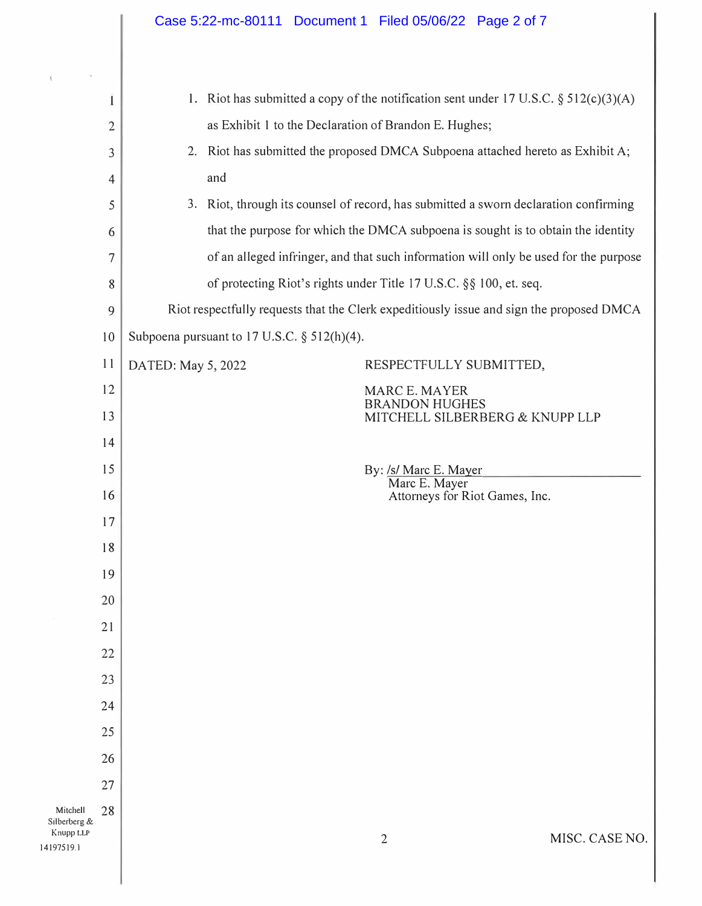|                                                   |                                                                         | Case 5:22-mc-80111 Document 1 Filed 05/06/22 Page 2 of 7                                 |  |
|---------------------------------------------------|-------------------------------------------------------------------------|------------------------------------------------------------------------------------------|--|
|                                                   |                                                                         |                                                                                          |  |
|                                                   | 1                                                                       | 1. Riot has submitted a copy of the notification sent under 17 U.S.C. $\S 512(c)(3)(A)$  |  |
|                                                   | $\overline{2}$                                                          | as Exhibit 1 to the Declaration of Brandon E. Hughes;                                    |  |
|                                                   | 3                                                                       | 2. Riot has submitted the proposed DMCA Subpoena attached hereto as Exhibit A;           |  |
|                                                   | $\overline{4}$                                                          | and                                                                                      |  |
|                                                   | 5                                                                       | 3. Riot, through its counsel of record, has submitted a sworn declaration confirming     |  |
|                                                   | 6                                                                       | that the purpose for which the DMCA subpoena is sought is to obtain the identity         |  |
|                                                   | $\overline{7}$                                                          | of an alleged infringer, and that such information will only be used for the purpose     |  |
|                                                   | of protecting Riot's rights under Title 17 U.S.C. §§ 100, et. seq.<br>8 |                                                                                          |  |
|                                                   | 9                                                                       | Riot respectfully requests that the Clerk expeditiously issue and sign the proposed DMCA |  |
|                                                   | Subpoena pursuant to $17$ U.S.C. § $512(h)(4)$ .<br>10                  |                                                                                          |  |
|                                                   | 11                                                                      | RESPECTFULLY SUBMITTED,<br>DATED: May 5, 2022                                            |  |
|                                                   | 12                                                                      | <b>MARC E. MAYER</b>                                                                     |  |
|                                                   | 13                                                                      | <b>BRANDON HUGHES</b><br>MITCHELL SILBERBERG & KNUPP LLP                                 |  |
|                                                   | 14                                                                      |                                                                                          |  |
|                                                   | 15                                                                      | By: /s/ Marc E. Mayer                                                                    |  |
|                                                   | 16                                                                      | Marc E. Mayer<br>Attorneys for Riot Games, Inc.                                          |  |
|                                                   | 17                                                                      |                                                                                          |  |
|                                                   | 18                                                                      |                                                                                          |  |
|                                                   | 19                                                                      |                                                                                          |  |
|                                                   | 20                                                                      |                                                                                          |  |
|                                                   | 21                                                                      |                                                                                          |  |
|                                                   | 22                                                                      |                                                                                          |  |
|                                                   | 23                                                                      |                                                                                          |  |
|                                                   | 24                                                                      |                                                                                          |  |
|                                                   | 25                                                                      |                                                                                          |  |
|                                                   | 26                                                                      |                                                                                          |  |
|                                                   | 27                                                                      |                                                                                          |  |
| Mitchell<br>Silberberg &<br>Knupp LLP<br>197519.1 | 28                                                                      | MISC. CASE NO.<br>$\overline{2}$                                                         |  |
|                                                   |                                                                         |                                                                                          |  |

Mitchell Silberberg

14 I 97519.l

 $\chi$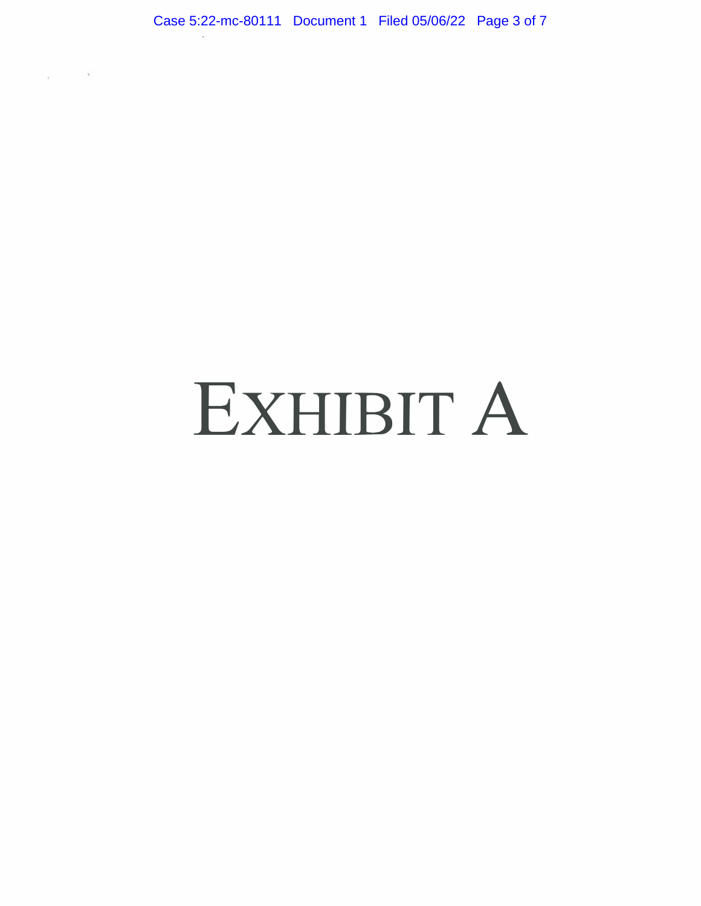$\sim$  100  $\mu$ 

Ŵ.

# EXHIBIT A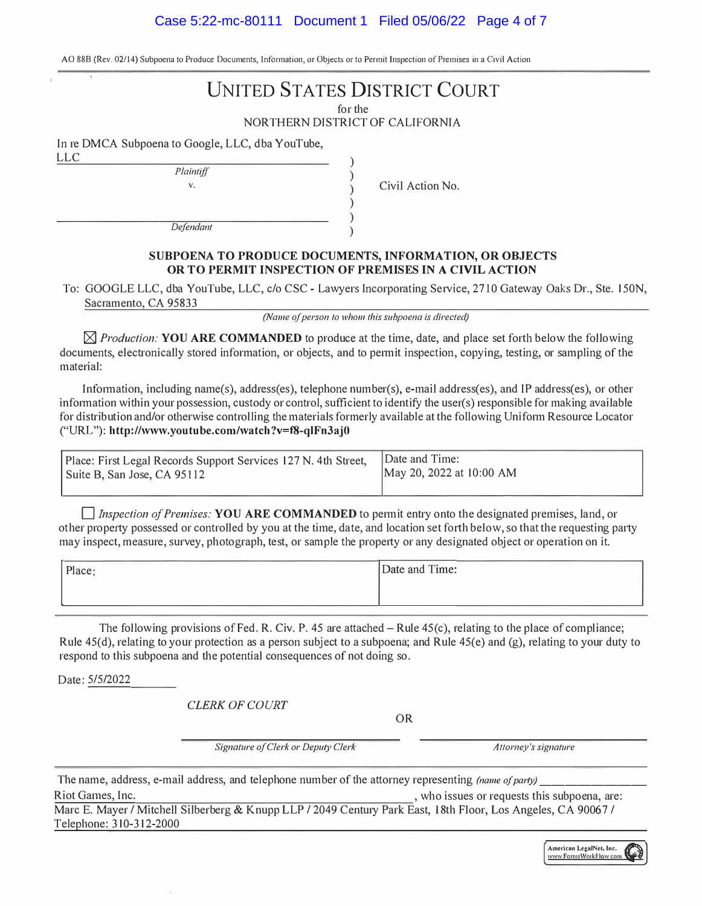# Case 5:22-mc-80111 Document 1 Filed 05/06/22 Page 4 of 7

AO 88B (Rev. 02/14) Subpoena to Produce Documents, Information, or Objects or to Permit Inspection of Premises in a Civil Action

# **UNITED STATES DISTRICT COURT**

for the

NORTHERN DISTRICT OF CALIFORNIA

) ) ) ) ) )

In re DMCA Subpoena to Google, LLC, dba YouTube, LLC

*Plaintiff* 

**V.** 

Civil Action No.

*Defendant* 

## **SUBPOENA TO PRODUCE DOCUMENTS, INFORMATION, OR OBJECTS OR TO PERMIT INSPECTION OF PREMISES IN A CIVIL ACTION**

To: GOOGLE LLC, dba YouTube, LLC, c/o CSC - Lawyers Incorporating Service, 2710 Gateway Oaks Dr., Ste. 150N, Sacramento, CA 95833

*(Name of person to whom this subpoena is directed)* 

 $\boxtimes$  *Production:* **YOU ARE COMMANDED** to produce at the time, date, and place set forth below the following documents, electronically stored information, or objects, and to permit inspection, copying, testing, or sampling of the material:

Information, including name(s), address(es), telephone number(s), e-mail address(es), and IP address(es), or other information within your possession, custody or control, sufficient to identify the user(s) responsible for making available for distribution and/or otherwise controlling the materials formerly available at the following Uniform Resource Locator ("URL"): **http://www.youtube.com/watch?v=f8-q1Fn3aj0** 

| Place: First Legal Records Support Services 127 N. 4th Street,<br>Suite B, San Jose, CA 95112 | <b>IDate and Time:</b><br>May 20, 2022 at 10:00 AM |
|-----------------------------------------------------------------------------------------------|----------------------------------------------------|
|                                                                                               |                                                    |

**D** *Inspection of Premises:* **YOU ARE COMMANDED** to permit entry onto the designated premises, land, or other property possessed or controlled by you at the time, date, and location set forth below, so that the requesting party may inspect, measure, survey, photograph, test, or sample the property or any designated object or operation on it.

| and the control of the control of<br>_______<br>Place: | Date and Time:                              |
|--------------------------------------------------------|---------------------------------------------|
|                                                        |                                             |
|                                                        | the contract of the contract of the<br>____ |

The following provisions of Fed. R. Civ. P. 45 are attached  $-$  Rule 45(c), relating to the place of compliance; Rule 45(d), relating to your protection as a person subject to a subpoena; and Rule 45(e) and (g), relating to your duty to respond to this subpoena and the potential consequences of not doing so.

Date: 5/5/2022

*CLERK OF COURT* 

OR

Signature of Clerk or Deputy Clerk **Allomey's** signature

The name, address, e-mail address, and telephone number of the attorney representing *(name of party)* Riot Games, Inc.  $\blacksquare$  Figure 1.1 and  $\blacksquare$  are:  $\blacksquare$  who issues or requests this subpoena, are:

Marc E. Mayer / Mitchell Silberberg & Knupp LLP / 2049 Century Park East, 18th Floor, Los Angeles, CA 90067 / Telephone: 310-312-2000

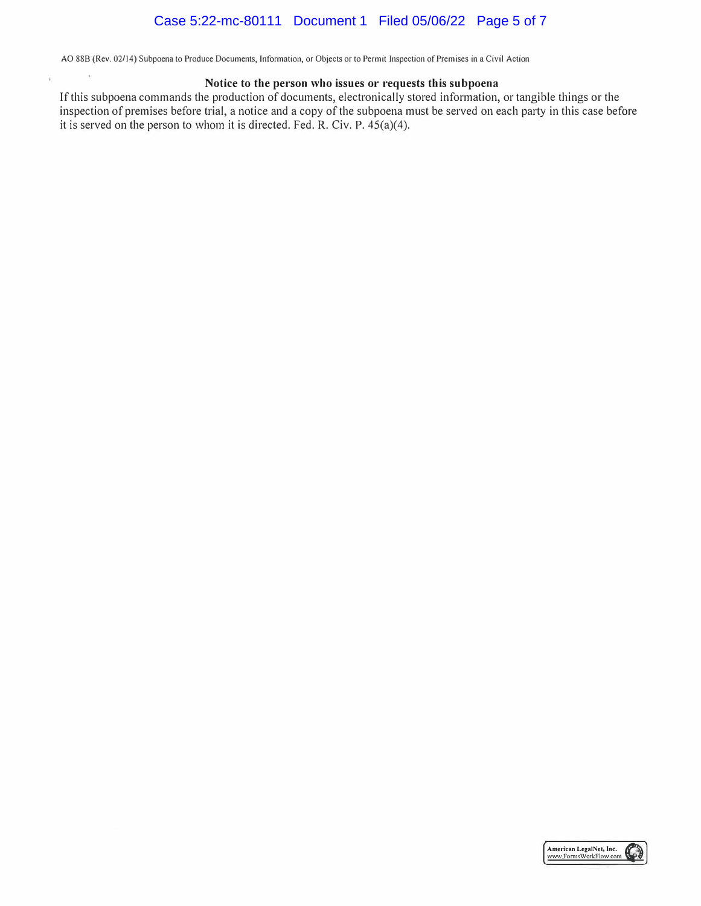# Case 5:22-mc-80111 Document 1 Filed 05/06/22 Page 5 of 7

AO 88B (Rev. 02/14) Subpoena to Produce Documents, Information, or Objects or to Permit Inspection of Premises in a Civil Action

×.

Ÿ.

### **Notice to the person who issues or requests this subpoena**

If this subpoena commands the production of documents, electronically stored information, or tangible things or the inspection of premises before trial, a notice and a copy of the subpoena must be served on each party in this case before it is served on the person to whom it is directed. Fed. R. Civ. P. 45(a)(4).

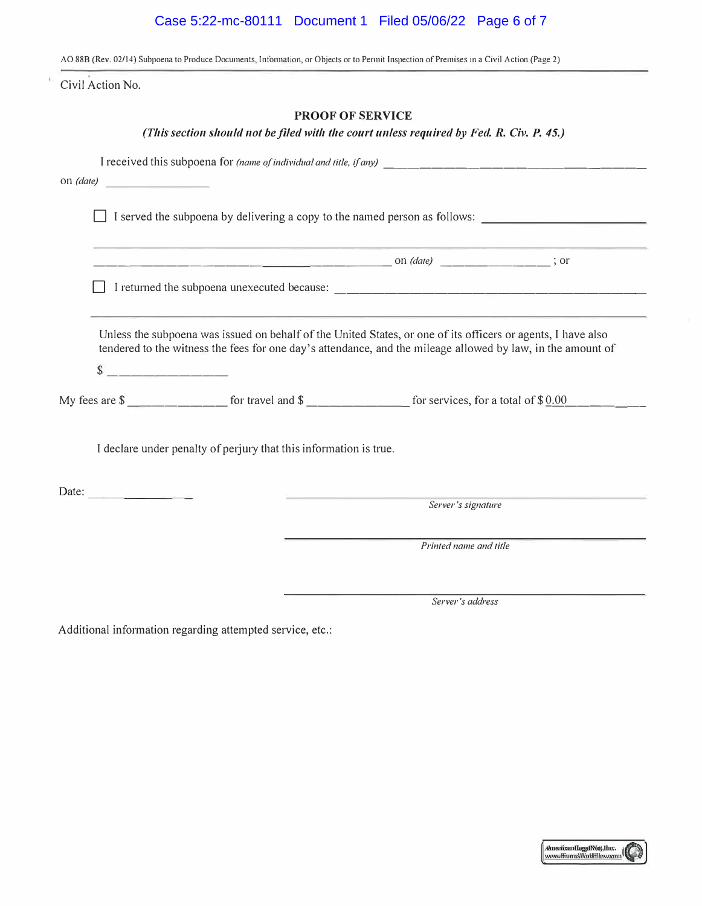# Case 5:22-mc-80111 Document 1 Filed 05/06/22 Page 6 of 7

AO 88B (Rev. 02/14) Subpoena to Produce Documents, Information, or Objects or to Permit Inspection of Premises in a Civil Action (Page 2)

Civil Action No.

## **PROOF OF SERVICE**

## *(This section should not be filed with the court unless required by Fed. R. Civ. P. 45.)*

|                                                                   | on $(date)$                                                                                                                                                                                                                 |  |                        |  |  |  |
|-------------------------------------------------------------------|-----------------------------------------------------------------------------------------------------------------------------------------------------------------------------------------------------------------------------|--|------------------------|--|--|--|
|                                                                   | I served the subpoena by delivering a copy to the named person as follows:                                                                                                                                                  |  |                        |  |  |  |
|                                                                   | <u> 1989 - Jan Salaman Salaman (j. 1989)</u>                                                                                                                                                                                |  |                        |  |  |  |
|                                                                   |                                                                                                                                                                                                                             |  |                        |  |  |  |
|                                                                   | Unless the subpoena was issued on behalf of the United States, or one of its officers or agents, I have also<br>tendered to the witness the fees for one day's attendance, and the mileage allowed by law, in the amount of |  |                        |  |  |  |
|                                                                   | My fees are $\frac{1}{2}$ for travel and $\frac{1}{2}$ for services, for a total of $\frac{1}{2}$ of $\frac{1}{2}$                                                                                                          |  |                        |  |  |  |
| I declare under penalty of perjury that this information is true. |                                                                                                                                                                                                                             |  |                        |  |  |  |
|                                                                   | Date:                                                                                                                                                                                                                       |  | Server's signature     |  |  |  |
|                                                                   |                                                                                                                                                                                                                             |  | Printed name and title |  |  |  |
|                                                                   |                                                                                                                                                                                                                             |  | Server's address       |  |  |  |

Additional information regarding attempted service, etc.: